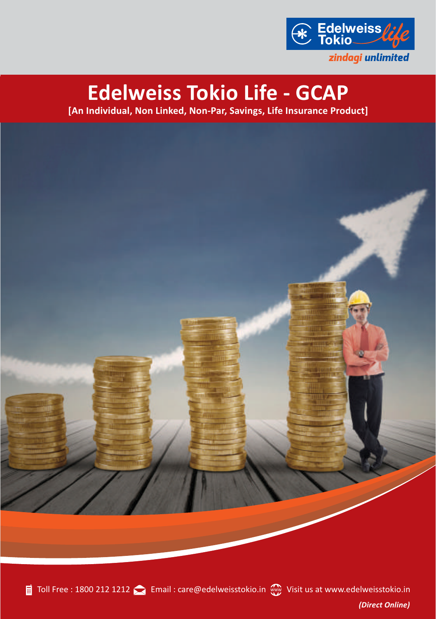

## **Edelweiss Tokio Life - GCAP**

**[An Individual, Non Linked, Non-Par, Savings, Life Insurance Product]**

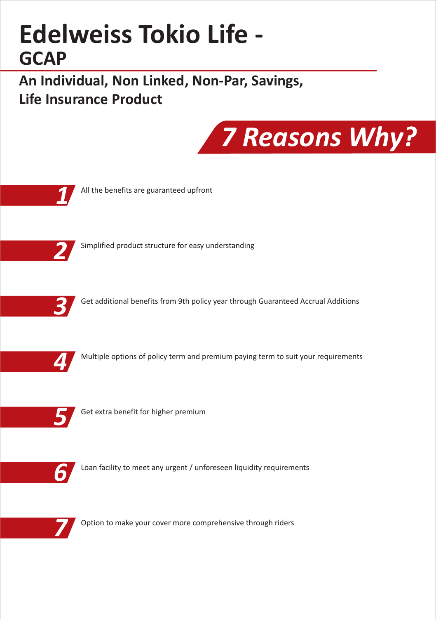# **Edelweiss Tokio Life - GCAP**

**An Individual, Non Linked, Non-Par, Savings, Life Insurance Product**





Option to make your cover more comprehensive through riders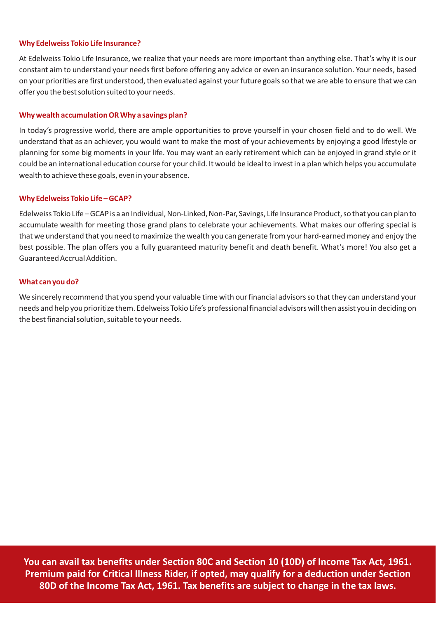#### **Why Edelweiss Tokio Life Insurance?**

At Edelweiss Tokio Life Insurance, we realize that your needs are more important than anything else. That's why it is our constant aim to understand your needs first before offering any advice or even an insurance solution. Your needs, based on your priorities are first understood, then evaluated against your future goals so that we are able to ensure that we can offer you the best solution suited to your needs.

### **Why wealth accumulation OR Why a savings plan?**

In today's progressive world, there are ample opportunities to prove yourself in your chosen field and to do well. We understand that as an achiever, you would want to make the most of your achievements by enjoying a good lifestyle or planning for some big moments in your life. You may want an early retirement which can be enjoyed in grand style or it could be an international education course for your child. It would be ideal to invest in a plan which helps you accumulate wealth to achieve these goals, even in your absence.

## **Why Edelweiss Tokio Life – GCAP?**

Edelweiss Tokio Life – GCAP is a an Individual, Non-Linked, Non-Par, Savings, Life Insurance Product, so that you can plan to accumulate wealth for meeting those grand plans to celebrate your achievements. What makes our offering special is that we understand that you need to maximize the wealth you can generate from your hard-earned money and enjoy the best possible. The plan offers you a fully guaranteed maturity benefit and death benefit. What's more! You also get a Guaranteed Accrual Addition.

## **What can you do?**

We sincerely recommend that you spend your valuable time with our financial advisors so that they can understand your needs and help you prioritize them. Edelweiss Tokio Life's professional financial advisors will then assist you in deciding on the best financial solution, suitable to your needs.

**You can avail tax benefits under Section 80C and Section 10 (10D) of Income Tax Act, 1961. Premium paid for Critical Illness Rider, if opted, may qualify for a deduction under Section 80D of the Income Tax Act, 1961. Tax benefits are subject to change in the tax laws.**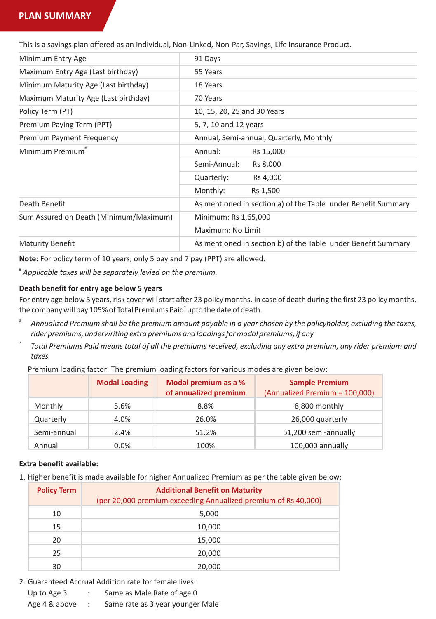## **PLAN SUMMARY**

This is a savings plan offered as an Individual, Non-Linked, Non-Par, Savings, Life Insurance Product.

| 91 Days                                                       |
|---------------------------------------------------------------|
| 55 Years                                                      |
| 18 Years                                                      |
| 70 Years                                                      |
| 10, 15, 20, 25 and 30 Years                                   |
| 5, 7, 10 and 12 years                                         |
| Annual, Semi-annual, Quarterly, Monthly                       |
| Annual:<br>Rs 15,000                                          |
| Semi-Annual:<br>Rs 8,000                                      |
| Quarterly:<br>Rs 4,000                                        |
| Monthly:<br>Rs 1,500                                          |
| As mentioned in section a) of the Table under Benefit Summary |
| Minimum: Rs 1,65,000                                          |
| Maximum: No Limit                                             |
| As mentioned in section b) of the Table under Benefit Summary |
|                                                               |

**Note:** For policy term of 10 years, only 5 pay and 7 pay (PPT) are allowed.

#  *Applicable taxes will be separately levied on the premium.*

## **Death benefit for entry age below 5 years**

For entry age below 5 years, risk cover will start after 23 policy months. In case of death during the first 23 policy months, the company will pay 105% of Total Premiums Paid $\degree$ upto the date of death.

- *\$ Annualized Premium shall be the premium amount payable in a year chosen by the policyholder, excluding the taxes, rider premiums, underwriting extra premiums and loadings for modal premiums, if any*
- *^ Total Premiums Paid means total of all the premiums received, excluding any extra premium, any rider premium and taxes*

Premium loading factor: The premium loading factors for various modes are given below:

|             | <b>Modal Loading</b> | Modal premium as a %<br>of annualized premium | <b>Sample Premium</b><br>(Annualized Premium = 100,000) |
|-------------|----------------------|-----------------------------------------------|---------------------------------------------------------|
| Monthly     | 5.6%                 | 8.8%                                          | 8,800 monthly                                           |
| Quarterly   | 4.0%                 | 26.0%                                         | 26,000 quarterly                                        |
| Semi-annual | 2.4%                 | 51.2%                                         | 51,200 semi-annually                                    |
| Annual      | $0.0\%$              | 100%                                          | 100,000 annually                                        |

#### **Extra benefit available:**

1. Higher benefit is made available for higher Annualized Premium as per the table given below:

| <b>Policy Term</b> | <b>Additional Benefit on Maturity</b><br>(per 20,000 premium exceeding Annualized premium of Rs 40,000) |
|--------------------|---------------------------------------------------------------------------------------------------------|
| 10                 | 5,000                                                                                                   |
| 15                 | 10,000                                                                                                  |
| 20                 | 15,000                                                                                                  |
| 25                 | 20,000                                                                                                  |
| 30                 | 20,000                                                                                                  |

2. Guaranteed Accrual Addition rate for female lives:

- Up to Age 3 : Same as Male Rate of age 0
- Age 4 & above : Same rate as 3 year younger Male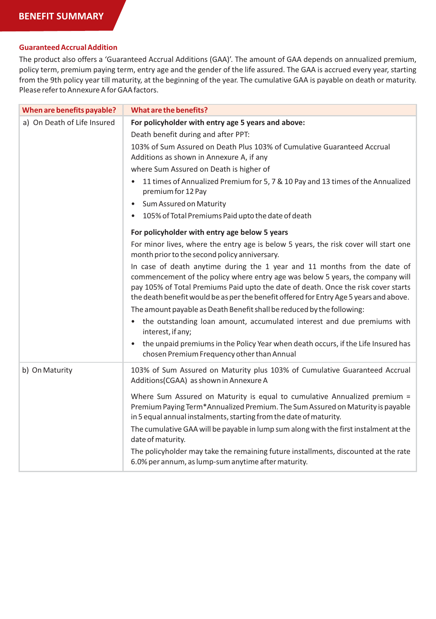## **Guaranteed Accrual Addition**

The product also offers a 'Guaranteed Accrual Additions (GAA)'. The amount of GAA depends on annualized premium, policy term, premium paying term, entry age and the gender of the life assured. The GAA is accrued every year, starting from the 9th policy year till maturity, at the beginning of the year. The cumulative GAA is payable on death or maturity. Please refer to Annexure A for GAA factors.

| When are benefits payable?  | What are the benefits?                                                                                                                                                                                                                                                                                                                          |
|-----------------------------|-------------------------------------------------------------------------------------------------------------------------------------------------------------------------------------------------------------------------------------------------------------------------------------------------------------------------------------------------|
| a) On Death of Life Insured | For policyholder with entry age 5 years and above:                                                                                                                                                                                                                                                                                              |
|                             | Death benefit during and after PPT:                                                                                                                                                                                                                                                                                                             |
|                             | 103% of Sum Assured on Death Plus 103% of Cumulative Guaranteed Accrual<br>Additions as shown in Annexure A, if any                                                                                                                                                                                                                             |
|                             | where Sum Assured on Death is higher of                                                                                                                                                                                                                                                                                                         |
|                             | 11 times of Annualized Premium for 5, 7 & 10 Pay and 13 times of the Annualized<br>$\bullet$<br>premium for 12 Pay                                                                                                                                                                                                                              |
|                             | Sum Assured on Maturity<br>$\bullet$                                                                                                                                                                                                                                                                                                            |
|                             | 105% of Total Premiums Paid upto the date of death<br>$\bullet$                                                                                                                                                                                                                                                                                 |
|                             | For policyholder with entry age below 5 years                                                                                                                                                                                                                                                                                                   |
|                             | For minor lives, where the entry age is below 5 years, the risk cover will start one<br>month prior to the second policy anniversary.                                                                                                                                                                                                           |
|                             | In case of death anytime during the 1 year and 11 months from the date of<br>commencement of the policy where entry age was below 5 years, the company will<br>pay 105% of Total Premiums Paid upto the date of death. Once the risk cover starts<br>the death benefit would be as per the benefit offered for Entry Age 5 years and above.     |
|                             | The amount payable as Death Benefit shall be reduced by the following:                                                                                                                                                                                                                                                                          |
|                             | the outstanding loan amount, accumulated interest and due premiums with<br>$\bullet$<br>interest, if any;                                                                                                                                                                                                                                       |
|                             | the unpaid premiums in the Policy Year when death occurs, if the Life Insured has<br>$\bullet$<br>chosen Premium Frequency other than Annual                                                                                                                                                                                                    |
| b) On Maturity              | 103% of Sum Assured on Maturity plus 103% of Cumulative Guaranteed Accrual<br>Additions(CGAA) as shown in Annexure A                                                                                                                                                                                                                            |
|                             | Where Sum Assured on Maturity is equal to cumulative Annualized premium =<br>Premium Paying Term*Annualized Premium. The Sum Assured on Maturity is payable<br>in 5 equal annual instalments, starting from the date of maturity.<br>The cumulative GAA will be payable in lump sum along with the first instalment at the<br>date of maturity. |
|                             | The policyholder may take the remaining future installments, discounted at the rate<br>6.0% per annum, as lump-sum anytime after maturity.                                                                                                                                                                                                      |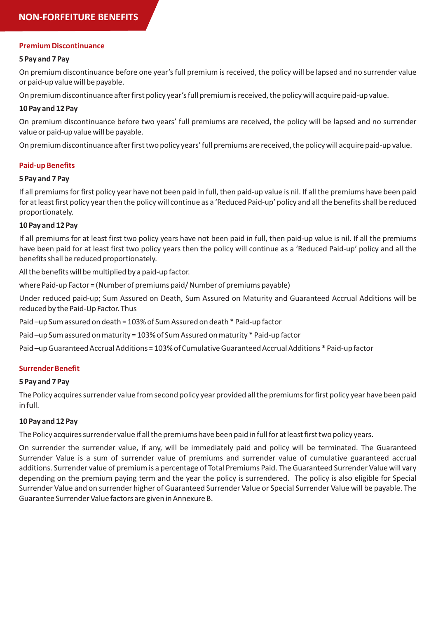### **Premium Discontinuance**

## **5 Pay and 7 Pay**

On premium discontinuance before one year's full premium is received, the policy will be lapsed and no surrender value or paid-up value will be payable.

On premium discontinuance after first policy year's full premium is received, the policy will acquire paid-up value.

## **10 Pay and 12 Pay**

On premium discontinuance before two years' full premiums are received, the policy will be lapsed and no surrender value or paid-up value will be payable.

On premium discontinuance after first two policy years' full premiums are received, the policy will acquire paid-up value.

## **Paid-up Benefits**

## **5 Pay and 7 Pay**

If all premiums for first policy year have not been paid in full, then paid-up value is nil. If all the premiums have been paid for at least first policy year then the policy will continue as a 'Reduced Paid-up' policy and all the benefits shall be reduced proportionately.

## **10 Pay and 12 Pay**

If all premiums for at least first two policy years have not been paid in full, then paid-up value is nil. If all the premiums have been paid for at least first two policy years then the policy will continue as a 'Reduced Paid-up' policy and all the benefits shall be reduced proportionately.

All the benefits will be multiplied by a paid-up factor.

where Paid-up Factor = (Number of premiums paid/ Number of premiums payable)

Under reduced paid-up; Sum Assured on Death, Sum Assured on Maturity and Guaranteed Accrual Additions will be reduced by the Paid-Up Factor. Thus

Paid –up Sum assured on death = 103% of Sum Assured on death \* Paid-up factor

Paid –up Sum assured on maturity = 103% of Sum Assured on maturity \* Paid-up factor

Paid –up Guaranteed Accrual Additions = 103% of Cumulative Guaranteed Accrual Additions \* Paid-up factor

## **Surrender Benefit**

#### **5 Pay and 7 Pay**

The Policy acquires surrender value from second policy year provided all the premiums for first policy year have been paid in full.

## **10 Pay and 12 Pay**

The Policy acquires surrender value if all the premiums have been paid in full for at least first two policy years.

On surrender the surrender value, if any, will be immediately paid and policy will be terminated. The Guaranteed Surrender Value is a sum of surrender value of premiums and surrender value of cumulative guaranteed accrual additions. Surrender value of premium is a percentage of Total Premiums Paid. The Guaranteed Surrender Value will vary depending on the premium paying term and the year the policy is surrendered. The policy is also eligible for Special Surrender Value and on surrender higher of Guaranteed Surrender Value or Special Surrender Value will be payable. The Guarantee Surrender Value factors are given in Annexure B.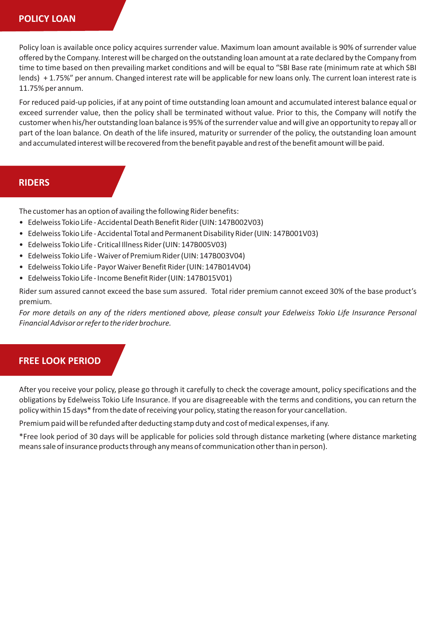## **POLICY LOAN**

Policy loan is available once policy acquires surrender value. Maximum loan amount available is 90% of surrender value offered by the Company. Interest will be charged on the outstanding loan amount at a rate declared by the Company from time to time based on then prevailing market conditions and will be equal to "SBI Base rate (minimum rate at which SBI lends) + 1.75%" per annum. Changed interest rate will be applicable for new loans only. The current loan interest rate is 11.75% per annum.

For reduced paid-up policies, if at any point of time outstanding loan amount and accumulated interest balance equal or exceed surrender value, then the policy shall be terminated without value. Prior to this, the Company will notify the customer when his/her outstanding loan balance is 95% of the surrender value and will give an opportunity to repay all or part of the loan balance. On death of the life insured, maturity or surrender of the policy, the outstanding loan amount and accumulated interest will be recovered from the benefit payable and rest of the benefit amount will be paid.

## **RIDERS**

The customer has an option of availing the following Rider benefits:

- Edelweiss Tokio Life Accidental Death Benefit Rider (UIN: 147B002V03)
- Edelweiss Tokio Life Accidental Total and Permanent Disability Rider (UIN: 147B001V03)
- Edelweiss Tokio Life Critical Illness Rider (UIN: 147B005V03)
- Edelweiss Tokio Life Waiver of Premium Rider (UIN: 147B003V04)
- Edelweiss Tokio Life Payor Waiver Benefit Rider (UIN: 147B014V04)
- Edelweiss Tokio Life Income Benefit Rider (UIN: 147B015V01)

Rider sum assured cannot exceed the base sum assured. Total rider premium cannot exceed 30% of the base product's premium.

For more details on any of the riders mentioned above, please consult your Edelweiss Tokio Life Insurance Personal *Financial Advisor or refer to the rider brochure.*

## **FREE LOOK PERIOD**

After you receive your policy, please go through it carefully to check the coverage amount, policy specifications and the obligations by Edelweiss Tokio Life Insurance. If you are disagreeable with the terms and conditions, you can return the policy within 15 days\* from the date of receiving your policy, stating the reason for your cancellation.

Premium paid will be refunded after deducting stamp duty and cost of medical expenses, if any.

\*Free look period of 30 days will be applicable for policies sold through distance marketing (where distance marketing means sale of insurance products through any means of communication other than in person).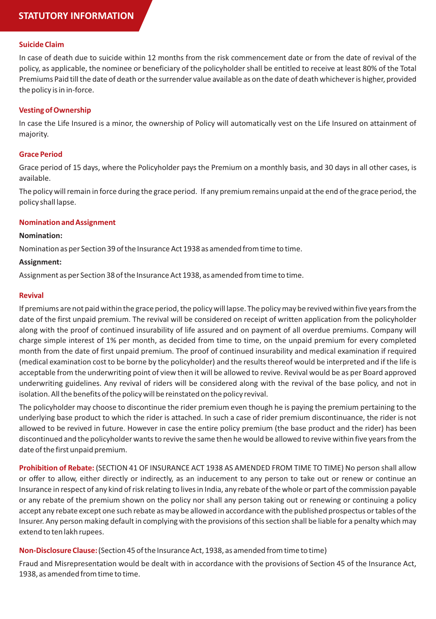## **Suicide Claim**

In case of death due to suicide within 12 months from the risk commencement date or from the date of revival of the policy, as applicable, the nominee or beneficiary of the policyholder shall be entitled to receive at least 80% of the Total Premiums Paid till the date of death or the surrender value available as on the date of death whichever is higher, provided the policy is in in-force.

## **Vesting of Ownership**

In case the Life Insured is a minor, the ownership of Policy will automatically vest on the Life Insured on attainment of majority.

## **Grace Period**

Grace period of 15 days, where the Policyholder pays the Premium on a monthly basis, and 30 days in all other cases, is available.

The policy will remain in force during the grace period. If any premium remains unpaid at the end of the grace period, the policy shall lapse.

#### **Nomination and Assignment**

#### **Nomination:**

Nomination as per Section 39 of the Insurance Act 1938 as amended from time to time.

#### **Assignment:**

Assignment as per Section 38 of the Insurance Act 1938, as amended from time to time.

#### **Revival**

If premiums are not paid within the grace period, the policy will lapse. The policy may be revived within five years from the date of the first unpaid premium. The revival will be considered on receipt of written application from the policyholder along with the proof of continued insurability of life assured and on payment of all overdue premiums. Company will charge simple interest of 1% per month, as decided from time to time, on the unpaid premium for every completed month from the date of first unpaid premium. The proof of continued insurability and medical examination if required (medical examination cost to be borne by the policyholder) and the results thereof would be interpreted and if the life is acceptable from the underwriting point of view then it will be allowed to revive. Revival would be as per Board approved underwriting guidelines. Any revival of riders will be considered along with the revival of the base policy, and not in isolation. All the benefits of the policy will be reinstated on the policy revival.

The policyholder may choose to discontinue the rider premium even though he is paying the premium pertaining to the underlying base product to which the rider is attached. In such a case of rider premium discontinuance, the rider is not allowed to be revived in future. However in case the entire policy premium (the base product and the rider) has been discontinued and the policyholder wants to revive the same then he would be allowed to revive within five years from the date of the first unpaid premium.

**Prohibition of Rebate:** (SECTION 41 OF INSURANCE ACT 1938 AS AMENDED FROM TIME TO TIME) No person shall allow or offer to allow, either directly or indirectly, as an inducement to any person to take out or renew or continue an Insurance in respect of any kind of risk relating to lives in India, any rebate of the whole or part of the commission payable or any rebate of the premium shown on the policy nor shall any person taking out or renewing or continuing a policy accept any rebate except one such rebate as may be allowed in accordance with the published prospectus or tables of the Insurer. Any person making default in complying with the provisions of this section shall be liable for a penalty which may extend to ten lakh rupees.

## **Non-Disclosure Clause:** (Section 45 of the Insurance Act, 1938, as amended from time to time)

Fraud and Misrepresentation would be dealt with in accordance with the provisions of Section 45 of the Insurance Act, 1938, as amended from time to time.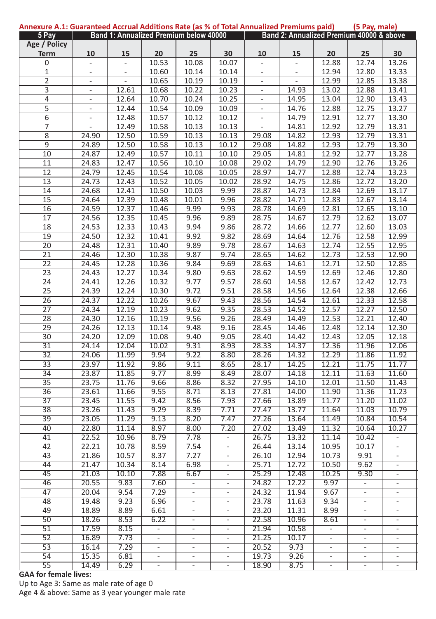| Annexure A.1: Guaranteed Accrual Additions Rate (as % of Total Annualized Premiums paid) |                          |                          |                                        |                          |                          |                          |                                          |                          | (5 Pay, male)            |                          |
|------------------------------------------------------------------------------------------|--------------------------|--------------------------|----------------------------------------|--------------------------|--------------------------|--------------------------|------------------------------------------|--------------------------|--------------------------|--------------------------|
| 5 Pay                                                                                    |                          |                          | Band 1: Annualized Premium below 40000 |                          |                          |                          | Band 2: Annualized Premium 40000 & above |                          |                          |                          |
| Age / Policy                                                                             |                          |                          |                                        |                          |                          |                          |                                          |                          |                          |                          |
| <b>Term</b>                                                                              | 10                       | 15                       | 20                                     | 25                       | 30                       | 10                       | 15                                       | 20                       | 25                       | 30                       |
| 0                                                                                        | $\overline{\phantom{m}}$ | ÷                        | 10.53                                  | 10.08                    | 10.07                    | $\overline{\phantom{0}}$ | $\overline{\phantom{m}}$                 | 12.88                    | 12.74                    | 13.26                    |
| $\mathbf{1}$                                                                             | $\omega$                 | $\blacksquare$           | 10.60                                  | 10.14                    | 10.14                    | $\overline{\phantom{a}}$ | $\overline{\phantom{a}}$                 | 12.94                    | 12.80                    | 13.33                    |
| $\overline{2}$                                                                           | $\blacksquare$           | $\overline{\phantom{a}}$ | 10.65                                  | 10.19                    | 10.19                    | $\blacksquare$           | $\blacksquare$                           | 12.99                    | 12.85                    | 13.38                    |
| 3                                                                                        | ÷,                       | 12.61                    | 10.68                                  | 10.22                    |                          | ä,                       | 14.93                                    | 13.02                    | 12.88                    | 13.41                    |
|                                                                                          |                          |                          |                                        |                          | 10.23                    |                          |                                          |                          |                          |                          |
| 4                                                                                        | $\frac{1}{2}$            | 12.64                    | 10.70                                  | 10.24                    | 10.25                    | $\blacksquare$           | 14.95                                    | 13.04                    | 12.90                    | 13.43                    |
| $\overline{5}$                                                                           | $\overline{\phantom{a}}$ | 12.44                    | 10.54                                  | 10.09                    | 10.09                    | ä,                       | 14.76                                    | 12.88                    | 12.75                    | 13.27                    |
| $\overline{6}$                                                                           | $\overline{\phantom{a}}$ | 12.48                    | 10.57                                  | 10.12                    | 10.12                    | $\overline{\phantom{a}}$ | 14.79                                    | 12.91                    | 12.77                    | 13.30                    |
| $\overline{7}$                                                                           | ä,                       | 12.49                    | 10.58                                  | 10.13                    | 10.13                    | ÷,                       | 14.81                                    | 12.92                    | 12.79                    | 13.31                    |
| $\overline{\bf 8}$                                                                       | 24.90                    | 12.50                    | 10.59                                  | 10.13                    | 10.13                    | 29.08                    | 14.82                                    | 12.93                    | 12.79                    | 13.31                    |
| $\overline{9}$                                                                           | 24.89                    | 12.50                    | 10.58                                  | 10.13                    | 10.12                    | 29.08                    | 14.82                                    | 12.93                    | 12.79                    | 13.30                    |
| 10                                                                                       | 24.87                    | 12.49                    | 10.57                                  | 10.11                    | 10.10                    | 29.05                    | 14.81                                    | 12.92                    | 12.77                    | 13.28                    |
| 11                                                                                       | 24.83                    | 12.47                    | 10.56                                  | 10.10                    | 10.08                    | 29.02                    | 14.79                                    | 12.90                    | 12.76                    | 13.26                    |
| 12                                                                                       | 24.79                    | 12.45                    | 10.54                                  | 10.08                    | 10.05                    | 28.97                    | 14.77                                    | 12.88                    | 12.74                    | 13.23                    |
| 13                                                                                       | 24.73                    | 12.43                    | 10.52                                  | 10.05                    | 10.02                    | 28.92                    | 14.75                                    | 12.86                    | 12.72                    | 13.20                    |
|                                                                                          |                          |                          |                                        |                          |                          |                          |                                          |                          |                          |                          |
| $\overline{14}$                                                                          | 24.68                    | 12.41                    | 10.50                                  | 10.03                    | 9.99                     | 28.87                    | 14.73                                    | 12.84                    | 12.69                    | 13.17                    |
| 15                                                                                       | 24.64                    | 12.39                    | 10.48                                  | 10.01                    | 9.96                     | 28.82                    | 14.71                                    | 12.83                    | 12.67                    | 13.14                    |
| $\overline{16}$                                                                          | 24.59                    | 12.37                    | 10.46                                  | 9.99                     | 9.93                     | 28.78                    | 14.69                                    | 12.81                    | 12.65                    | 13.10                    |
| 17                                                                                       | 24.56                    | 12.35                    | 10.45                                  | 9.96                     | 9.89                     | 28.75                    | 14.67                                    | 12.79                    | 12.62                    | 13.07                    |
| 18                                                                                       | 24.53                    | 12.33                    | 10.43                                  | 9.94                     | 9.86                     | 28.72                    | 14.66                                    | 12.77                    | 12.60                    | 13.03                    |
| 19                                                                                       | 24.50                    | 12.32                    | 10.41                                  | 9.92                     | 9.82                     | 28.69                    | 14.64                                    | 12.76                    | 12.58                    | 12.99                    |
| $\overline{20}$                                                                          | 24.48                    | 12.31                    | 10.40                                  | 9.89                     | 9.78                     | 28.67                    | 14.63                                    | 12.74                    | 12.55                    | 12.95                    |
| $\overline{21}$                                                                          | 24.46                    | 12.30                    | 10.38                                  | 9.87                     | 9.74                     | 28.65                    | 14.62                                    | 12.73                    | 12.53                    | 12.90                    |
| $\overline{22}$                                                                          | 24.45                    | 12.28                    | 10.36                                  | 9.84                     | 9.69                     | 28.63                    | 14.61                                    | 12.71                    | 12.50                    | 12.85                    |
| $\overline{23}$                                                                          | 24.43                    | 12.27                    | 10.34                                  | 9.80                     | 9.63                     | 28.62                    | 14.59                                    | 12.69                    | 12.46                    | 12.80                    |
|                                                                                          |                          |                          |                                        |                          |                          |                          |                                          |                          |                          |                          |
| $\overline{24}$                                                                          | 24.41                    | 12.26                    | 10.32                                  | 9.77                     | 9.57                     | 28.60                    | 14.58                                    | 12.67                    | 12.42                    | 12.73                    |
| $\overline{25}$                                                                          | 24.39                    | 12.24                    | 10.30                                  | 9.72                     | 9.51                     | 28.58                    | 14.56                                    | 12.64                    | 12.38                    | 12.66                    |
| $\overline{26}$                                                                          | 24.37                    | 12.22                    | 10.26                                  | 9.67                     | 9.43                     | 28.56                    | 14.54                                    | 12.61                    | 12.33                    | 12.58                    |
| 27                                                                                       | 24.34                    | 12.19                    | 10.23                                  | 9.62                     | 9.35                     | 28.53                    | 14.52                                    | 12.57                    | 12.27                    | 12.50                    |
| 28                                                                                       | 24.30                    | 12.16                    | 10.19                                  | 9.56                     | 9.26                     | 28.49                    | 14.49                                    | 12.53                    | 12.21                    | 12.40                    |
| 29                                                                                       | 24.26                    | 12.13                    | 10.14                                  | 9.48                     | 9.16                     | 28.45                    | 14.46                                    | 12.48                    | 12.14                    | 12.30                    |
| $\overline{30}$                                                                          | 24.20                    | 12.09                    | 10.08                                  | 9.40                     | 9.05                     | 28.40                    | 14.42                                    | 12.43                    | 12.05                    | 12.18                    |
| $\overline{31}$                                                                          | 24.14                    | 12.04                    | 10.02                                  | 9.31                     | 8.93                     | 28.33                    | 14.37                                    | 12.36                    | 11.96                    | 12.06                    |
| $\overline{32}$                                                                          | 24.06                    | 11.99                    | 9.94                                   | 9.22                     | 8.80                     | 28.26                    | 14.32                                    | 12.29                    | 11.86                    | 11.92                    |
| $\overline{33}$                                                                          | 23.97                    | 11.92                    | 9.86                                   | 9.11                     | 8.65                     | 28.17                    | 14.25                                    | 12.21                    | 11.75                    | 11.77                    |
| $\overline{34}$                                                                          | 23.87                    | 11.85                    | 9.77                                   | 8.99                     | 8.49                     | 28.07                    | 14.18                                    | 12.11                    | 11.63                    | 11.60                    |
| $\overline{35}$                                                                          | 23.75                    | 11.76                    | 9.66                                   | 8.86                     | 8.32                     | 27.95                    | 14.10                                    | 12.01                    | 11.50                    | 11.43                    |
|                                                                                          |                          |                          |                                        |                          |                          |                          |                                          |                          |                          |                          |
| $\overline{36}$                                                                          | 23.61                    | 11.66                    | 9.55                                   | 8.71                     | 8.13                     | 27.81                    | 14.00                                    | 11.90                    | 11.36                    | 11.23                    |
| $\overline{37}$                                                                          | 23.45                    | 11.55                    | 9.42                                   | 8.56                     | 7.93                     | 27.66                    | 13.89                                    | 11.77                    | 11.20                    | 11.02                    |
| $\overline{38}$                                                                          | 23.26                    | 11.43                    | 9.29                                   | 8.39                     | 7.71                     | 27.47                    | 13.77                                    | 11.64                    | 11.03                    | 10.79                    |
| 39                                                                                       | 23.05                    | 11.29                    | 9.13                                   | 8.20                     | 7.47                     | 27.26                    | 13.64                                    | 11.49                    | 10.84                    | 10.54                    |
| 40                                                                                       | 22.80                    | 11.14                    | 8.97                                   | 8.00                     | 7.20                     | 27.02                    | 13.49                                    | 11.32                    | 10.64                    | 10.27                    |
| 41                                                                                       | 22.52                    | 10.96                    | 8.79                                   | 7.78                     | -                        | 26.75                    | 13.32                                    | 11.14                    | 10.42                    | $\overline{\phantom{m}}$ |
| 42                                                                                       | 22.21                    | 10.78                    | 8.59                                   | 7.54                     | ÷,                       | 26.44                    | 13.14                                    | 10.95                    | 10.17                    | $\blacksquare$           |
| $\overline{43}$                                                                          | 21.86                    | 10.57                    | 8.37                                   | 7.27                     | -                        | 26.10                    | 12.94                                    | 10.73                    | 9.91                     | -                        |
| 44                                                                                       | 21.47                    | 10.34                    | 8.14                                   | 6.98                     | ÷,                       | 25.71                    | 12.72                                    | 10.50                    | 9.62                     |                          |
| 45                                                                                       | 21.03                    | 10.10                    | 7.88                                   | 6.67                     | ÷                        | 25.29                    | 12.48                                    | 10.25                    | 9.30                     | $\blacksquare$           |
| 46                                                                                       | 20.55                    | 9.83                     | 7.60                                   | $\overline{\phantom{a}}$ | $\blacksquare$           | 24.82                    | 12.22                                    | 9.97                     | $\overline{\phantom{a}}$ | $\overline{\phantom{a}}$ |
|                                                                                          |                          |                          |                                        |                          |                          |                          |                                          |                          |                          |                          |
| 47                                                                                       | 20.04                    | 9.54                     | 7.29                                   |                          |                          | 24.32                    | 11.94                                    | 9.67                     |                          |                          |
| 48                                                                                       | 19.48                    | 9.23                     | 6.96                                   | $\overline{\phantom{a}}$ | $\overline{\phantom{a}}$ | 23.78                    | 11.63                                    | 9.34                     | $\overline{\phantom{a}}$ | $\overline{\phantom{a}}$ |
| 49                                                                                       | 18.89                    | 8.89                     | 6.61                                   | ۰                        | $\overline{\phantom{a}}$ | 23.20                    | 11.31                                    | 8.99                     | $\overline{\phantom{a}}$ | $\overline{\phantom{a}}$ |
| 50                                                                                       | 18.26                    | 8.53                     | 6.22                                   | $\overline{\phantom{a}}$ | $\overline{\phantom{a}}$ | 22.58                    | 10.96                                    | 8.61                     | $\overline{\phantom{a}}$ | $\overline{\phantom{a}}$ |
| 51                                                                                       | 17.59                    | 8.15                     | $\overline{\phantom{a}}$               | $\overline{\phantom{a}}$ | $\overline{\phantom{a}}$ | 21.94                    | 10.58                                    | $\overline{\phantom{a}}$ | $\overline{\phantom{a}}$ |                          |
| 52                                                                                       | 16.89                    | 7.73                     | $\overline{\phantom{a}}$               | $\blacksquare$           | $\blacksquare$           | 21.25                    | 10.17                                    | $\blacksquare$           | $\overline{\phantom{a}}$ | $\overline{\phantom{a}}$ |
| 53                                                                                       | 16.14                    | 7.29                     |                                        | -                        | ۰                        | 20.52                    | 9.73                                     | ۰.                       | -                        | -                        |
| 54                                                                                       | 15.35                    | 6.81                     | $\overline{\phantom{a}}$               | $\overline{\phantom{a}}$ | ۰                        | 19.73                    | 9.26                                     | $\sim$                   | $\overline{\phantom{a}}$ | $\overline{\phantom{a}}$ |
| 55                                                                                       | 14.49                    | 6.29                     |                                        |                          |                          | 18.90                    | 8.75                                     |                          |                          |                          |
|                                                                                          |                          |                          |                                        |                          |                          |                          |                                          |                          |                          |                          |

**GAA for female lives:** Up to Age 3: Same as male rate of age 0 Age 4 & above: Same as 3 year younger male rate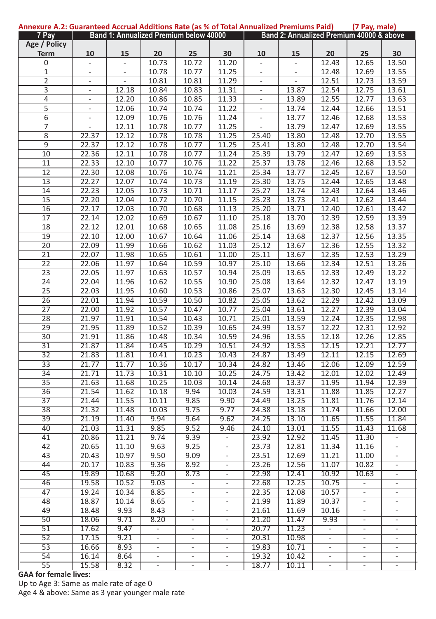| Annexure A.2: Guaranteed Accrual Additions Rate (as % of Total Annualized Premiums Paid) |                          |                          |                                        |                          |                          |                          |                          |                          | (7 Pay, male)                            |                          |
|------------------------------------------------------------------------------------------|--------------------------|--------------------------|----------------------------------------|--------------------------|--------------------------|--------------------------|--------------------------|--------------------------|------------------------------------------|--------------------------|
| 7 Pay                                                                                    |                          |                          | Band 1: Annualized Premium below 40000 |                          |                          |                          |                          |                          | Band 2: Annualized Premium 40000 & above |                          |
| Age / Policy                                                                             |                          |                          |                                        |                          |                          |                          |                          |                          |                                          |                          |
| <b>Term</b>                                                                              | 10                       | 15                       | 20                                     | 25                       | 30                       | 10                       | 15                       | 20                       | 25                                       | 30                       |
| 0                                                                                        | $\overline{\phantom{m}}$ | $\overline{\phantom{m}}$ | 10.73                                  | 10.72                    | 11.20                    | $\overline{a}$           | $\overline{\phantom{a}}$ | 12.43                    | 12.65                                    | 13.50                    |
| $\mathbf{1}$                                                                             | $\Box$                   | $\bar{a}$                | 10.78                                  | 10.77                    | 11.25                    | $\overline{\phantom{a}}$ | ÷,                       | 12.48                    | 12.69                                    | 13.55                    |
| 2                                                                                        | $\blacksquare$           | $\blacksquare$           | 10.81                                  | 10.81                    | 11.29                    | $\overline{\phantom{a}}$ | $\overline{\phantom{a}}$ | 12.51                    | 12.73                                    | 13.59                    |
| 3                                                                                        | ÷,                       | 12.18                    | 10.84                                  | 10.83                    | 11.31                    | ÷,                       | 13.87                    | 12.54                    | 12.75                                    | 13.61                    |
| 4                                                                                        | $\frac{1}{2}$            | 12.20                    | 10.86                                  | 10.85                    | 11.33                    | $\blacksquare$           | 13.89                    | 12.55                    | 12.77                                    | 13.63                    |
| 5                                                                                        | $\Box$                   | 12.06                    | 10.74                                  | 10.74                    | 11.22                    | $\overline{\phantom{a}}$ | 13.74                    | 12.44                    | 12.66                                    | 13.51                    |
| 6                                                                                        |                          | 12.09                    | 10.76                                  | 10.76                    | 11.24                    |                          | 13.77                    | 12.46                    | 12.68                                    | 13.53                    |
|                                                                                          | $\overline{\phantom{a}}$ |                          |                                        |                          |                          | $\frac{1}{2}$            |                          |                          |                                          |                          |
| 7                                                                                        | ÷,                       | 12.11                    | 10.78                                  | 10.77                    | 11.25                    | $\overline{\phantom{a}}$ | 13.79                    | 12.47                    | 12.69                                    | 13.55                    |
| $\overline{8}$                                                                           | 22.37                    | 12.12                    | 10.78                                  | 10.78                    | 11.25                    | 25.40                    | 13.80                    | 12.48                    | 12.70                                    | 13.55                    |
| $\overline{9}$                                                                           | 22.37                    | 12.12                    | 10.78                                  | 10.77                    | 11.25                    | 25.41                    | 13.80                    | 12.48                    | 12.70                                    | 13.54                    |
| 10                                                                                       | 22.36                    | 12.11                    | 10.78                                  | 10.77                    | 11.24                    | 25.39                    | 13.79                    | 12.47                    | 12.69                                    | 13.53                    |
| 11                                                                                       | 22.33                    | 12.10                    | 10.77                                  | 10.76                    | 11.22                    | 25.37                    | 13.78                    | 12.46                    | 12.68                                    | 13.52                    |
| 12                                                                                       | 22.30                    | 12.08                    | 10.76                                  | 10.74                    | 11.21                    | 25.34                    | 13.77                    | 12.45                    | 12.67                                    | 13.50                    |
| 13                                                                                       | 22.27                    | 12.07                    | 10.74                                  | 10.73                    | 11.19                    | 25.30                    | 13.75                    | 12.44                    | 12.65                                    | 13.48                    |
| 14                                                                                       | 22.23                    | 12.05                    | 10.73                                  | 10.71                    | 11.17                    | 25.27                    | 13.74                    | 12.43                    | 12.64                                    | 13.46                    |
| 15                                                                                       | 22.20                    | 12.04                    | 10.72                                  | 10.70                    | 11.15                    | 25.23                    | 13.73                    | 12.41                    | 12.62                                    | 13.44                    |
| $\overline{16}$                                                                          | 22.17                    | 12.03                    | 10.70                                  | 10.68                    | 11.13                    | 25.20                    | 13.71                    | 12.40                    | 12.61                                    | 13.42                    |
| 17                                                                                       | 22.14                    | 12.02                    | 10.69                                  | 10.67                    | 11.10                    | 25.18                    | 13.70                    | 12.39                    | 12.59                                    | 13.39                    |
| 18                                                                                       | 22.12                    | 12.01                    | 10.68                                  | 10.65                    | 11.08                    | 25.16                    | 13.69                    | 12.38                    | 12.58                                    | 13.37                    |
| 19                                                                                       | 22.10                    | 12.00                    | 10.67                                  | 10.64                    | 11.06                    | 25.14                    | 13.68                    | 12.37                    | 12.56                                    | 13.35                    |
| 20                                                                                       | 22.09                    | 11.99                    | 10.66                                  | 10.62                    | 11.03                    | 25.12                    | 13.67                    | 12.36                    | 12.55                                    | 13.32                    |
| $\overline{21}$                                                                          | 22.07                    | 11.98                    | 10.65                                  | 10.61                    | 11.00                    | 25.11                    | 13.67                    | 12.35                    | 12.53                                    | 13.29                    |
| $\overline{22}$                                                                          | 22.06                    | 11.97                    | 10.64                                  | 10.59                    | 10.97                    | 25.10                    | 13.66                    | 12.34                    | 12.51                                    | 13.26                    |
|                                                                                          |                          |                          |                                        |                          |                          |                          |                          |                          |                                          |                          |
| $\overline{23}$                                                                          | 22.05                    | 11.97                    | 10.63                                  | 10.57                    | 10.94                    | 25.09                    | 13.65                    | 12.33                    | 12.49                                    | 13.22                    |
| $\overline{24}$                                                                          | 22.04                    | 11.96                    | 10.62                                  | 10.55                    | 10.90                    | 25.08                    | 13.64                    | 12.32                    | 12.47                                    | 13.19                    |
| 25                                                                                       | 22.03                    | 11.95                    | 10.60                                  | 10.53                    | 10.86                    | 25.07                    | 13.63                    | 12.30                    | 12.45                                    | 13.14                    |
| $\overline{26}$                                                                          | 22.01                    | 11.94                    | 10.59                                  | 10.50                    | 10.82                    | 25.05                    | 13.62                    | 12.29                    | 12.42                                    | 13.09                    |
| 27                                                                                       | 22.00                    | 11.92                    | 10.57                                  | 10.47                    | 10.77                    | 25.04                    | 13.61                    | 12.27                    | 12.39                                    | 13.04                    |
| $\overline{28}$                                                                          | 21.97                    | 11.91                    | 10.54                                  | 10.43                    | 10.71                    | 25.01                    | 13.59                    | 12.24                    | 12.35                                    | 12.98                    |
| 29                                                                                       | 21.95                    | 11.89                    | 10.52                                  | 10.39                    | 10.65                    | 24.99                    | 13.57                    | 12.22                    | 12.31                                    | 12.92                    |
| $\overline{30}$                                                                          | 21.91                    | 11.86                    | 10.48                                  | 10.34                    | 10.59                    | 24.96                    | 13.55                    | 12.18                    | 12.26                                    | 12.85                    |
| $\overline{31}$                                                                          | 21.87                    | 11.84                    | 10.45                                  | 10.29                    | 10.51                    | 24.92                    | 13.53                    | 12.15                    | 12.21                                    | 12.77                    |
| $\overline{32}$                                                                          | 21.83                    | 11.81                    | 10.41                                  | 10.23                    | 10.43                    | 24.87                    | 13.49                    | 12.11                    | 12.15                                    | 12.69                    |
| 33                                                                                       | 21.77                    | 11.77                    | 10.36                                  | 10.17                    | 10.34                    | 24.82                    | 13.46                    | 12.06                    | 12.09                                    | 12.59                    |
| $\overline{34}$                                                                          | 21.71                    | 11.73                    | 10.31                                  | 10.10                    | 10.25                    | 24.75                    | 13.42                    | 12.01                    | 12.02                                    | 12.49                    |
| $\overline{35}$                                                                          | 21.63                    | 11.68                    | 10.25                                  | 10.03                    | 10.14                    | 24.68                    | 13.37                    | 11.95                    | 11.94                                    | 12.39                    |
|                                                                                          | 21.54                    | 11.62                    | 10.18                                  | 9.94                     | 10.03                    | 24.59                    | 13.31                    | 11.88                    | 11.85                                    | 12.27                    |
| 36                                                                                       |                          |                          |                                        |                          |                          |                          |                          |                          |                                          |                          |
| $\overline{37}$                                                                          | 21.44                    | 11.55                    | 10.11                                  | 9.85                     | 9.90                     | 24.49                    | 13.25                    | 11.81                    | 11.76                                    | 12.14                    |
| $\overline{38}$                                                                          | 21.32                    | 11.48                    | 10.03                                  | 9.75                     | 9.77                     | 24.38                    | 13.18                    | 11.74                    | 11.66                                    | 12.00                    |
| 39                                                                                       | 21.19                    | 11.40                    | 9.94                                   | 9.64                     | 9.62                     | 24.25                    | 13.10                    | 11.65                    | 11.55                                    | 11.84                    |
| 40                                                                                       | 21.03                    | 11.31                    | 9.85                                   | 9.52                     | 9.46                     | 24.10                    | 13.01                    | 11.55                    | 11.43                                    | 11.68                    |
| 41                                                                                       | 20.86                    | 11.21                    | 9.74                                   | 9.39                     | ÷                        | 23.92                    | 12.92                    | 11.45                    | 11.30                                    | $\overline{\phantom{m}}$ |
| 42                                                                                       | 20.65                    | 11.10                    | 9.63                                   | 9.25                     |                          | 23.73                    | 12.81                    | 11.34                    | 11.16                                    |                          |
| 43                                                                                       | 20.43                    | 10.97                    | 9.50                                   | 9.09                     | ÷                        | 23.51                    | 12.69                    | 11.21                    | 11.00                                    | $\overline{\phantom{a}}$ |
| 44                                                                                       | 20.17                    | 10.83                    | 9.36                                   | 8.92                     | ÷,                       | 23.26                    | 12.56                    | 11.07                    | 10.82                                    |                          |
| 45                                                                                       | 19.89                    | 10.68                    | 9.20                                   | 8.73                     | ÷                        | 22.98                    | 12.41                    | 10.92                    | 10.63                                    | ÷                        |
| 46                                                                                       | 19.58                    | 10.52                    | 9.03                                   | $\overline{\phantom{a}}$ | $\blacksquare$           | 22.68                    | 12.25                    | 10.75                    | $\blacksquare$                           | $\blacksquare$           |
| 47                                                                                       | 19.24                    | 10.34                    | 8.85                                   |                          |                          | 22.35                    | 12.08                    | 10.57                    |                                          |                          |
| 48                                                                                       | 18.87                    | 10.14                    | 8.65                                   | $\overline{\phantom{a}}$ | $\overline{\phantom{a}}$ | 21.99                    | 11.89                    | 10.37                    | $\overline{\phantom{a}}$                 | $\overline{\phantom{a}}$ |
| 49                                                                                       | 18.48                    | 9.93                     | 8.43                                   | $\overline{\phantom{a}}$ | $\overline{\phantom{a}}$ | 21.61                    | 11.69                    | 10.16                    | $\overline{\phantom{a}}$                 | $\overline{\phantom{a}}$ |
| 50                                                                                       | 18.06                    | 9.71                     | 8.20                                   |                          |                          | 21.20                    | 11.47                    | 9.93                     |                                          |                          |
|                                                                                          |                          |                          |                                        | $\overline{\phantom{a}}$ | $\overline{\phantom{a}}$ |                          |                          |                          | $\overline{\phantom{a}}$                 | $\overline{\phantom{a}}$ |
| 51                                                                                       | 17.62                    | 9.47                     | $\overline{\phantom{a}}$               | $\overline{\phantom{a}}$ | $\overline{\phantom{a}}$ | 20.77                    | 11.23                    | $\overline{\phantom{a}}$ | $\overline{\phantom{a}}$                 | $\overline{\phantom{a}}$ |
| 52                                                                                       | 17.15                    | 9.21                     | $\blacksquare$                         | $\overline{\phantom{a}}$ | $\blacksquare$           | 20.31                    | 10.98                    | $\blacksquare$           | $\overline{\phantom{a}}$                 | $\overline{\phantom{a}}$ |
| 53                                                                                       | 16.66                    | 8.93                     |                                        | -                        | ۰                        | 19.83                    | 10.71                    | ۰.                       | -                                        | -                        |
| 54                                                                                       | 16.14                    | 8.64                     | $\overline{\phantom{a}}$               | $\overline{\phantom{a}}$ | ۰                        | 19.32                    | 10.42                    | $\sim$                   | $\overline{\phantom{a}}$                 | $\overline{\phantom{a}}$ |
| $\overline{55}$                                                                          | 15.58                    | 8.32                     |                                        |                          | $\overline{\phantom{a}}$ | 18.77                    | 10.11                    |                          |                                          |                          |

#### **GAA for female lives:**

Up to Age 3: Same as male rate of age 0 Age 4 & above: Same as 3 year younger male rate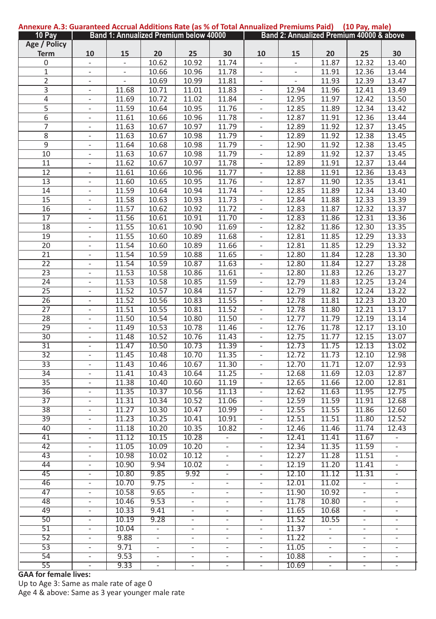| Annexure A.3: Guaranteed Accrual Additions Rate (as % of Total Annualized Premiums Paid) |                                 |                                        |                          |                          |                          |                                            |                          |          | (10 Pay, male)                           |                              |
|------------------------------------------------------------------------------------------|---------------------------------|----------------------------------------|--------------------------|--------------------------|--------------------------|--------------------------------------------|--------------------------|----------|------------------------------------------|------------------------------|
| 10 Pay                                                                                   |                                 | Band 1: Annualized Premium below 40000 |                          |                          |                          |                                            |                          |          | Band 2: Annualized Premium 40000 & above |                              |
| Age / Policy                                                                             |                                 |                                        |                          |                          |                          |                                            |                          |          |                                          |                              |
| <b>Term</b>                                                                              | 10                              | 15                                     | 20                       | 25                       | 30                       | 10                                         | 15                       | 20       | 25                                       | 30                           |
| 0                                                                                        | $\overline{\phantom{a}}$        | $\blacksquare$                         | 10.62                    | 10.92                    | 11.74                    | ÷                                          | $\overline{\phantom{a}}$ | 11.87    | 12.32                                    | 13.40                        |
| $\mathbf{1}$                                                                             | $\blacksquare$                  |                                        | 10.66                    | 10.96                    | 11.78                    | $\overline{\phantom{a}}$                   | ÷,                       | 11.91    | 12.36                                    | 13.44                        |
| $\overline{2}$                                                                           | $\blacksquare$                  | ÷,                                     | 10.69                    | 10.99                    | 11.81                    | $\overline{\phantom{a}}$                   | $\overline{\phantom{a}}$ | 11.93    | 12.39                                    | 13.47                        |
| 3                                                                                        | ÷,                              | 11.68                                  | 10.71                    | 11.01                    | 11.83                    | $\blacksquare$                             | 12.94                    | 11.96    | 12.41                                    | 13.49                        |
| 4                                                                                        | $\overline{\phantom{a}}$        | 11.69                                  | 10.72                    | 11.02                    | 11.84                    | $\blacksquare$                             | 12.95                    | 11.97    | 12.42                                    | 13.50                        |
| 5                                                                                        | ÷,                              | 11.59                                  | 10.64                    | 10.95                    | 11.76                    | $\overline{\phantom{a}}$                   | 12.85                    | 11.89    | 12.34                                    | 13.42                        |
| 6                                                                                        | $\overline{\phantom{a}}$        | 11.61                                  | 10.66                    | 10.96                    | 11.78                    | $\overline{\phantom{a}}$                   | 12.87                    | 11.91    | 12.36                                    | 13.44                        |
| 7                                                                                        | $\overline{\phantom{a}}$        | 11.63                                  | 10.67                    | 10.97                    | 11.79                    | $\overline{\phantom{a}}$                   | 12.89                    | 11.92    | 12.37                                    | 13.45                        |
| $\overline{\bf 8}$                                                                       |                                 | 11.63                                  | 10.67                    | 10.98                    | 11.79                    | $\overline{\phantom{a}}$                   | 12.89                    | 11.92    | 12.38                                    | 13.45                        |
| 9                                                                                        | $\overline{\phantom{a}}$<br>÷,  | 11.64                                  | 10.68                    | 10.98                    | 11.79                    | $\Box$                                     | 12.90                    | 11.92    | 12.38                                    | 13.45                        |
| 10                                                                                       |                                 | 11.63                                  | 10.67                    | 10.98                    | 11.79                    |                                            | 12.89                    | 11.92    | 12.37                                    | 13.45                        |
|                                                                                          | $\frac{1}{2}$                   |                                        |                          |                          |                          | $\blacksquare$                             |                          |          |                                          |                              |
| 11                                                                                       | $\blacksquare$                  | 11.62                                  | 10.67                    | 10.97                    | 11.78                    | $\blacksquare$                             | 12.89                    | 11.91    | 12.37                                    | 13.44                        |
| $\overline{12}$                                                                          | $\overline{\phantom{m}}$        | 11.61                                  | 10.66                    | 10.96                    | 11.77                    | $\overline{\phantom{m}}$                   | 12.88                    | 11.91    | 12.36                                    | 13.43                        |
| 13                                                                                       | $\frac{1}{2}$                   | 11.60                                  | 10.65                    | 10.95                    | 11.76                    | ÷                                          | 12.87                    | 11.90    | 12.35                                    | 13.41                        |
| 14                                                                                       | -                               | 11.59                                  | 10.64                    | 10.94                    | 11.74                    | -                                          | 12.85                    | 11.89    | 12.34                                    | 13.40                        |
| 15                                                                                       | $\blacksquare$                  | 11.58                                  | 10.63                    | 10.93                    | 11.73                    | ÷                                          | 12.84                    | 11.88    | 12.33                                    | 13.39                        |
| $\overline{16}$                                                                          | ÷,                              | 11.57                                  | 10.62                    | 10.92                    | 11.72                    | $\blacksquare$                             | 12.83                    | 11.87    | 12.32                                    | 13.37                        |
| 17                                                                                       | $\overline{\phantom{a}}$        | 11.56                                  | 10.61                    | 10.91                    | 11.70                    | $\blacksquare$                             | 12.83                    | 11.86    | 12.31                                    | 13.36                        |
| 18                                                                                       | $\blacksquare$                  | 11.55                                  | 10.61                    | 10.90                    | 11.69                    | $\overline{\phantom{a}}$                   | 12.82                    | 11.86    | 12.30                                    | 13.35                        |
| 19                                                                                       | $\blacksquare$                  | 11.55                                  | 10.60                    | 10.89                    | 11.68                    | $\blacksquare$                             | 12.81                    | 11.85    | 12.29                                    | 13.33                        |
| 20                                                                                       | $\overline{\phantom{a}}$        | 11.54                                  | 10.60                    | 10.89                    | 11.66                    | $\overline{\phantom{a}}$                   | 12.81                    | 11.85    | 12.29                                    | 13.32                        |
| $\overline{21}$                                                                          | $\blacksquare$                  | 11.54                                  | 10.59                    | 10.88                    | 11.65                    | $\blacksquare$                             | 12.80                    | 11.84    | 12.28                                    | 13.30                        |
| $\overline{22}$                                                                          | $\blacksquare$                  | 11.54                                  | 10.59                    | 10.87                    | 11.63                    | $\blacksquare$                             | 12.80                    | 11.84    | 12.27                                    | 13.28                        |
| 23                                                                                       | $\frac{1}{2}$                   | 11.53                                  | 10.58                    | 10.86                    | 11.61                    | $\blacksquare$                             | 12.80                    | 11.83    | 12.26                                    | 13.27                        |
| $\overline{24}$                                                                          | $\overline{\phantom{a}}$        | 11.53                                  | 10.58                    | 10.85                    | 11.59                    | $\blacksquare$                             | 12.79                    | 11.83    | 12.25                                    | 13.24                        |
| $\overline{25}$                                                                          | $\frac{1}{2}$                   | 11.52                                  | 10.57                    | 10.84                    | 11.57                    | $\blacksquare$                             | 12.79                    | 11.82    | 12.24                                    | 13.22                        |
| $\overline{26}$                                                                          | $\overline{\phantom{a}}$        | 11.52                                  | 10.56                    | 10.83                    | 11.55                    | $\overline{\phantom{a}}$                   | 12.78                    | 11.81    | 12.23                                    | 13.20                        |
| 27                                                                                       | $\frac{1}{2}$                   | 11.51                                  | 10.55                    | 10.81                    | 11.52                    | $\blacksquare$                             | 12.78                    | 11.80    | 12.21                                    | 13.17                        |
| 28                                                                                       | $\blacksquare$                  | 11.50                                  | 10.54                    | 10.80                    | 11.50                    | ÷                                          | 12.77                    | 11.79    | 12.19                                    | 13.14                        |
| 29                                                                                       | ÷                               | 11.49                                  | 10.53                    | 10.78                    | 11.46                    | ÷                                          | 12.76                    | 11.78    | 12.17                                    | 13.10                        |
| $\overline{30}$                                                                          | $\frac{1}{2}$                   | 11.48                                  | 10.52                    | 10.76                    | 11.43                    | $\overline{\phantom{m}}$                   | 12.75                    | 11.77    | 12.15                                    | 13.07                        |
| $\overline{31}$                                                                          | $\blacksquare$                  | 11.47                                  | 10.50                    | 10.73                    | 11.39                    | $\blacksquare$                             | 12.73                    | 11.75    | 12.13                                    | 13.02                        |
| $\overline{32}$                                                                          |                                 | 11.45                                  | 10.48                    | 10.70                    | 11.35                    |                                            | 12.72                    | 11.73    | 12.10                                    | 12.98                        |
| $\overline{33}$                                                                          | $\frac{1}{2}$<br>$\blacksquare$ | 11.43                                  | 10.46                    | 10.67                    | 11.30                    | $\overline{\phantom{a}}$<br>$\blacksquare$ | 12.70                    | 11.71    | 12.07                                    | 12.93                        |
| 34                                                                                       |                                 | 11.41                                  | 10.43                    | 10.64                    | 11.25                    |                                            | 12.68                    | 11.69    | 12.03                                    | 12.87                        |
|                                                                                          | $\overline{\phantom{a}}$        |                                        |                          |                          |                          | $\blacksquare$                             |                          |          |                                          |                              |
| $\overline{35}$                                                                          | $\blacksquare$                  | 11.38                                  | 10.40                    | 10.60                    | 11.19                    | $\blacksquare$                             | 12.65                    | 11.66    | 12.00                                    | 12.81                        |
| $\overline{36}$                                                                          | $\blacksquare$                  | 11.35                                  | 10.37                    | 10.56                    | 11.13                    | $\blacksquare$                             | 12.62                    | 11.63    | 11.95                                    | 12.75                        |
| $\overline{37}$                                                                          | $\overline{\phantom{a}}$        | 11.31                                  | 10.34                    | 10.52                    | 11.06                    | $\overline{\phantom{a}}$                   | 12.59                    | 11.59    | 11.91                                    | 12.68                        |
| $\overline{38}$                                                                          | $\frac{1}{2}$                   | 11.27                                  | 10.30                    | 10.47                    | 10.99                    | $\blacksquare$                             | 12.55                    | 11.55    | 11.86                                    | 12.60                        |
| 39                                                                                       | $\overline{\phantom{a}}$        | 11.23                                  | 10.25                    | 10.41                    | 10.91                    | $\blacksquare$                             | 12.51                    | 11.51    | 11.80                                    | 12.52                        |
| 40                                                                                       | $\frac{1}{2}$                   | 11.18                                  | 10.20                    | 10.35                    | 10.82                    | $\frac{1}{2}$                              | 12.46                    | 11.46    | 11.74                                    | 12.43                        |
| 41                                                                                       | $\frac{1}{2}$                   | 11.12                                  | 10.15                    | 10.28                    | ÷                        | $\overline{\phantom{a}}$                   | 12.41                    | 11.41    | 11.67                                    | $\overline{\phantom{a}}$     |
| 42                                                                                       | $\frac{1}{2}$                   | 11.05                                  | 10.09                    | 10.20                    |                          | $\overline{\phantom{m}}$                   | 12.34                    | 11.35    | 11.59                                    |                              |
| 43                                                                                       | $\overline{\phantom{m}}$        | 10.98                                  | 10.02                    | 10.12                    | $\frac{1}{2}$            | $\overline{\phantom{a}}$                   | 12.27                    | 11.28    | 11.51                                    | $\qquad \qquad \blacksquare$ |
| 44                                                                                       |                                 | 10.90                                  | 9.94                     | 10.02                    | ÷,                       | ÷                                          | 12.19                    | 11.20    | 11.41                                    |                              |
| 45                                                                                       | $\overline{\phantom{m}}$        | 10.80                                  | 9.85                     | 9.92                     | -                        | $\overline{\phantom{0}}$                   | 12.10                    | 11.12    | 11.31                                    | -                            |
| 46                                                                                       | $\blacksquare$                  | 10.70                                  | 9.75                     | $\blacksquare$           | ÷                        | $\blacksquare$                             | 12.01                    | 11.02    | $\blacksquare$                           |                              |
| 47                                                                                       |                                 | 10.58                                  | 9.65                     |                          |                          |                                            | 11.90                    | 10.92    |                                          |                              |
| 48                                                                                       | $\overline{\phantom{a}}$        | 10.46                                  | 9.53                     | $\overline{\phantom{a}}$ | $\overline{\phantom{a}}$ | $\overline{\phantom{a}}$                   | 11.78                    | 10.80    | $\overline{\phantom{a}}$                 | $\overline{\phantom{a}}$     |
| 49                                                                                       | $\overline{\phantom{a}}$        | 10.33                                  | 9.41                     | $\blacksquare$           | $\overline{\phantom{a}}$ | $\overline{\phantom{a}}$                   | 11.65                    | 10.68    | $\overline{\phantom{a}}$                 | $\overline{\phantom{a}}$     |
| 50                                                                                       | $\sim$                          | 10.19                                  | 9.28                     | $\overline{\phantom{a}}$ | $\blacksquare$           | $\sim$                                     | 11.52                    | 10.55    | $\overline{\phantom{a}}$                 | $\overline{\phantom{a}}$     |
| 51                                                                                       | ٠                               | 10.04                                  | $\blacksquare$           | $\overline{\phantom{a}}$ | $\overline{\phantom{a}}$ | $\overline{\phantom{a}}$                   | 11.37                    | $\sim$   | $\overline{\phantom{a}}$                 | $\overline{\phantom{a}}$     |
| 52                                                                                       | $\overline{\phantom{a}}$        | 9.88                                   | $\sim$                   | $\blacksquare$           | $\overline{\phantom{a}}$ | $\overline{\phantom{a}}$                   | 11.22                    | $\omega$ | $\overline{\phantom{a}}$                 | $\overline{\phantom{a}}$     |
| 53                                                                                       | $\overline{\phantom{a}}$        | 9.71                                   | $\overline{\phantom{a}}$ | $\overline{\phantom{a}}$ | $\overline{\phantom{a}}$ | $\overline{\phantom{a}}$                   | 11.05                    | $\sim$   | $\overline{\phantom{a}}$                 | $\overline{\phantom{a}}$     |
| 54                                                                                       | $\overline{\phantom{a}}$        | 9.53                                   | $\blacksquare$           | $\overline{\phantom{a}}$ | ÷                        | $\overline{\phantom{a}}$                   | 10.88                    | $\sim$   | $\overline{\phantom{a}}$                 | $\overline{\phantom{a}}$     |
| 55                                                                                       | $\overline{\phantom{a}}$        | 9.33                                   |                          |                          | ۰                        | $\overline{\phantom{a}}$                   | 10.69                    |          |                                          | -                            |
|                                                                                          |                                 |                                        |                          |                          |                          |                                            |                          |          | -                                        |                              |

#### **GAA for female lives:**

Up to Age 3: Same as male rate of age 0 Age 4 & above: Same as 3 year younger male rate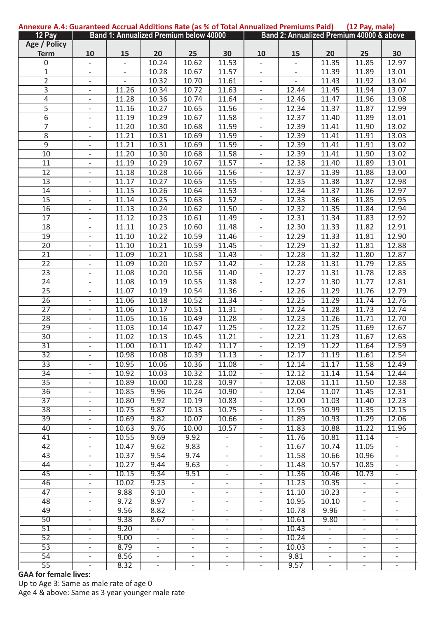| Annexure A.4: Guaranteed Accrual Additions Rate (as % of Total Annualized Premiums Paid) |                          |                                        |                          |                          |                          |                          |                          |                  | (12 Pay, male)                           |                              |
|------------------------------------------------------------------------------------------|--------------------------|----------------------------------------|--------------------------|--------------------------|--------------------------|--------------------------|--------------------------|------------------|------------------------------------------|------------------------------|
| 12 Pay                                                                                   |                          | Band 1: Annualized Premium below 40000 |                          |                          |                          |                          |                          |                  | Band 2: Annualized Premium 40000 & above |                              |
| Age / Policy                                                                             |                          |                                        |                          |                          |                          |                          |                          |                  |                                          |                              |
| <b>Term</b>                                                                              | 10                       | 15                                     | 20                       | 25                       | 30                       | 10                       | 15                       | 20               | 25                                       | 30                           |
| 0                                                                                        | $\overline{\phantom{a}}$ | $\blacksquare$                         | 10.24                    | 10.62                    | 11.53                    | ÷                        | $\overline{\phantom{a}}$ | 11.35            | 11.85                                    | 12.97                        |
| $\mathbf{1}$                                                                             | $\blacksquare$           |                                        | 10.28                    | 10.67                    | 11.57                    | $\overline{\phantom{a}}$ | ÷,                       | 11.39            | 11.89                                    | 13.01                        |
| $\overline{2}$                                                                           | $\blacksquare$           | $\overline{\phantom{a}}$               | 10.32                    | 10.70                    | 11.61                    | $\overline{\phantom{a}}$ | $\overline{\phantom{a}}$ | 11.43            | 11.92                                    | 13.04                        |
| 3                                                                                        | ÷,                       | 11.26                                  | 10.34                    | 10.72                    | 11.63                    | $\blacksquare$           | 12.44                    | 11.45            | 11.94                                    | 13.07                        |
| 4                                                                                        | $\overline{\phantom{a}}$ | 11.28                                  | 10.36                    | 10.74                    | 11.64                    | $\blacksquare$           | 12.46                    | 11.47            | 11.96                                    | 13.08                        |
| 5                                                                                        | ÷,                       | 11.16                                  | 10.27                    | 10.65                    | 11.56                    | $\overline{\phantom{a}}$ | 12.34                    | 11.37            | 11.87                                    | 12.99                        |
|                                                                                          |                          | 11.19                                  | 10.29                    |                          | 11.58                    |                          |                          | 11.40            |                                          |                              |
| 6                                                                                        | $\overline{\phantom{a}}$ |                                        |                          | 10.67                    |                          | $\overline{\phantom{a}}$ | 12.37                    |                  | 11.89                                    | 13.01                        |
| 7                                                                                        | $\overline{\phantom{a}}$ | 11.20                                  | 10.30                    | 10.68                    | 11.59                    | $\overline{\phantom{a}}$ | 12.39                    | 11.41            | 11.90                                    | 13.02                        |
| $\overline{\bf 8}$                                                                       | $\overline{\phantom{a}}$ | 11.21                                  | 10.31                    | 10.69                    | 11.59                    | $\overline{\phantom{a}}$ | 12.39                    | 11.41            | 11.91                                    | 13.03                        |
| 9                                                                                        | $\Box$                   | 11.21                                  | 10.31                    | 10.69                    | 11.59                    | $\Box$                   | 12.39                    | 11.41            | 11.91                                    | 13.02                        |
| 10                                                                                       | $\frac{1}{2}$            | 11.20                                  | 10.30                    | 10.68                    | 11.58                    | $\blacksquare$           | 12.39                    | 11.41            | 11.90                                    | 13.02                        |
| 11                                                                                       | $\blacksquare$           | 11.19                                  | 10.29                    | 10.67                    | 11.57                    | $\blacksquare$           | 12.38                    | 11.40            | 11.89                                    | 13.01                        |
| $\overline{12}$                                                                          | $\overline{\phantom{m}}$ | 11.18                                  | 10.28                    | 10.66                    | 11.56                    | $\overline{\phantom{m}}$ | 12.37                    | 11.39            | 11.88                                    | 13.00                        |
| 13                                                                                       | $\frac{1}{2}$            | 11.17                                  | 10.27                    | 10.65                    | 11.55                    | ÷                        | 12.35                    | 11.38            | 11.87                                    | 12.98                        |
| 14                                                                                       | -                        | 11.15                                  | 10.26                    | 10.64                    | 11.53                    | -                        | 12.34                    | 11.37            | 11.86                                    | 12.97                        |
| 15                                                                                       | $\blacksquare$           | 11.14                                  | 10.25                    | 10.63                    | 11.52                    | ÷                        | 12.33                    | 11.36            | 11.85                                    | 12.95                        |
| $\overline{16}$                                                                          | ÷,                       | 11.13                                  | 10.24                    | 10.62                    | 11.50                    | $\blacksquare$           | 12.32                    | 11.35            | 11.84                                    | 12.94                        |
| 17                                                                                       | $\overline{\phantom{a}}$ | 11.12                                  | 10.23                    | 10.61                    | 11.49                    | $\blacksquare$           | 12.31                    | 11.34            | 11.83                                    | 12.92                        |
| 18                                                                                       | $\blacksquare$           | 11.11                                  | 10.23                    | 10.60                    | 11.48                    | $\overline{\phantom{a}}$ | 12.30                    | 11.33            | 11.82                                    | 12.91                        |
| 19                                                                                       | $\blacksquare$           | 11.10                                  | 10.22                    | 10.59                    | 11.46                    | $\blacksquare$           | 12.29                    | 11.33            | 11.81                                    | 12.90                        |
| 20                                                                                       | $\overline{\phantom{a}}$ | 11.10                                  | 10.21                    | 10.59                    | 11.45                    | $\overline{\phantom{a}}$ | 12.29                    | 11.32            | 11.81                                    | 12.88                        |
| $\overline{21}$                                                                          | $\blacksquare$           | 11.09                                  | 10.21                    | 10.58                    | 11.43                    | $\blacksquare$           | 12.28                    | 11.32            | 11.80                                    | 12.87                        |
|                                                                                          |                          |                                        |                          |                          |                          |                          |                          |                  |                                          |                              |
| $\overline{22}$                                                                          | $\blacksquare$           | 11.09                                  | 10.20                    | 10.57                    | 11.42                    | $\blacksquare$           | 12.28                    | 11.31            | 11.79                                    | 12.85                        |
| 23                                                                                       | $\frac{1}{2}$            | 11.08                                  | 10.20                    | 10.56                    | 11.40                    | $\blacksquare$           | 12.27                    | 11.31            | 11.78                                    | 12.83                        |
| $\overline{24}$                                                                          | $\overline{\phantom{a}}$ | 11.08                                  | 10.19                    | 10.55                    | 11.38                    | $\blacksquare$           | 12.27                    | 11.30            | 11.77                                    | 12.81                        |
| $\overline{25}$                                                                          | $\overline{\phantom{a}}$ | 11.07                                  | 10.19                    | 10.54                    | 11.36                    | $\blacksquare$           | 12.26                    | 11.29            | 11.76                                    | 12.79                        |
| $\overline{26}$                                                                          | $\overline{\phantom{a}}$ | 11.06                                  | 10.18                    | 10.52                    | 11.34                    | $\overline{\phantom{a}}$ | 12.25                    | 11.29            | 11.74                                    | 12.76                        |
| 27                                                                                       | $\frac{1}{2}$            | 11.06                                  | 10.17                    | 10.51                    | 11.31                    | $\blacksquare$           | 12.24                    | 11.28            | 11.73                                    | 12.74                        |
| 28                                                                                       | $\blacksquare$           | 11.05                                  | 10.16                    | 10.49                    | 11.28                    | ÷                        | 12.23                    | 11.26            | 11.71                                    | 12.70                        |
| 29                                                                                       | ÷                        | 11.03                                  | 10.14                    | 10.47                    | 11.25                    | ÷                        | 12.22                    | 11.25            | 11.69                                    | 12.67                        |
| $\overline{30}$                                                                          | $\frac{1}{2}$            | 11.02                                  | 10.13                    | 10.45                    | 11.21                    | $\overline{\phantom{m}}$ | 12.21                    | 11.23            | 11.67                                    | 12.63                        |
| $\overline{31}$                                                                          | ÷,                       | 11.00                                  | 10.11                    | 10.42                    | 11.17                    | $\blacksquare$           | 12.19                    | 11.22            | 11.64                                    | 12.59                        |
| $\overline{32}$                                                                          | $\blacksquare$           | 10.98                                  | 10.08                    | 10.39                    | 11.13                    | $\overline{\phantom{a}}$ | 12.17                    | 11.19            | 11.61                                    | 12.54                        |
| $\overline{33}$                                                                          | $\blacksquare$           | 10.95                                  | 10.06                    | 10.36                    | 11.08                    | $\blacksquare$           | 12.14                    | 11.17            | 11.58                                    | 12.49                        |
| 34                                                                                       | $\blacksquare$           | 10.92                                  | 10.03                    | 10.32                    | 11.02                    | $\overline{\phantom{a}}$ | 12.12                    | 11.14            | 11.54                                    | 12.44                        |
| $\overline{35}$                                                                          | $\blacksquare$           | 10.89                                  | 10.00                    | 10.28                    | 10.97                    | $\blacksquare$           | 12.08                    | 11.11            | 11.50                                    | 12.38                        |
| $\overline{36}$                                                                          |                          | 10.85                                  | 9.96                     | 10.24                    | 10.90                    |                          | 12.04                    | 11.07            | 11.45                                    | 12.31                        |
|                                                                                          | $\blacksquare$           |                                        |                          |                          |                          | $\blacksquare$           |                          |                  |                                          |                              |
| $\overline{37}$                                                                          | $\overline{\phantom{a}}$ | 10.80                                  | 9.92                     | 10.19                    | 10.83                    | $\overline{\phantom{a}}$ | 12.00                    | 11.03            | 11.40                                    | 12.23                        |
| $\overline{38}$                                                                          | $\frac{1}{2}$            | 10.75                                  | 9.87                     | 10.13                    | 10.75                    | $\blacksquare$           | 11.95                    | 10.99            | 11.35                                    | 12.15                        |
| 39                                                                                       | $\overline{\phantom{a}}$ | 10.69                                  | 9.82                     | 10.07                    | 10.66                    | $\blacksquare$           | 11.89                    | 10.93            | 11.29                                    | 12.06                        |
| 40                                                                                       | $\frac{1}{2}$            | 10.63                                  | 9.76                     | 10.00                    | 10.57                    | $\frac{1}{2}$            | 11.83                    | 10.88            | 11.22                                    | 11.96                        |
| 41                                                                                       | $\frac{1}{2}$            | 10.55                                  | 9.69                     | 9.92                     | $\overline{\phantom{0}}$ | $\overline{\phantom{a}}$ | 11.76                    | 10.81            | 11.14                                    | $\overline{\phantom{a}}$     |
| 42                                                                                       | $\frac{1}{2}$            | 10.47                                  | 9.62                     | 9.83                     | -                        | $\overline{\phantom{m}}$ | 11.67                    | 10.74            | 11.05                                    |                              |
| 43                                                                                       | $\frac{1}{2}$            | 10.37                                  | 9.54                     | 9.74                     | $\overline{\phantom{0}}$ | $\overline{\phantom{a}}$ | 11.58                    | 10.66            | 10.96                                    | $\qquad \qquad \blacksquare$ |
| 44                                                                                       |                          | 10.27                                  | 9.44                     | 9.63                     | ÷,                       | ÷                        | 11.48                    | 10.57            | 10.85                                    |                              |
| 45                                                                                       | $\overline{\phantom{m}}$ | 10.15                                  | 9.34                     | 9.51                     | -                        | $\overline{\phantom{0}}$ | 11.36                    | 10.46            | 10.73                                    | -                            |
| 46                                                                                       | $\blacksquare$           | 10.02                                  | 9.23                     | $\blacksquare$           | $\overline{\phantom{a}}$ | $\blacksquare$           | 11.23                    | 10.35            | $\blacksquare$                           |                              |
| 47                                                                                       |                          | 9.88                                   | 9.10                     |                          |                          |                          | 11.10                    | 10.23            |                                          |                              |
| 48                                                                                       | $\overline{\phantom{a}}$ | 9.72                                   | 8.97                     | $\overline{\phantom{a}}$ | $\overline{\phantom{a}}$ | $\overline{\phantom{a}}$ | 10.95                    | 10.10            | $\overline{\phantom{a}}$                 | $\overline{\phantom{a}}$     |
| 49                                                                                       | $\overline{\phantom{a}}$ | 9.56                                   | 8.82                     | $\blacksquare$           | $\overline{\phantom{a}}$ | $\overline{\phantom{a}}$ | 10.78                    | 9.96             | $\overline{\phantom{a}}$                 | $\overline{\phantom{a}}$     |
| 50                                                                                       |                          | 9.38                                   |                          |                          | $\blacksquare$           |                          | 10.61                    | 9.80             |                                          |                              |
|                                                                                          | $\sim$                   |                                        | 8.67                     | $\overline{\phantom{a}}$ |                          | $\sim$                   |                          |                  | $\overline{\phantom{a}}$                 | $\overline{\phantom{a}}$     |
| 51                                                                                       | ۰                        | 9.20                                   | $\overline{\phantom{a}}$ | $\overline{\phantom{a}}$ | $\overline{\phantom{a}}$ | $\overline{\phantom{a}}$ | 10.43                    | $\sim$           | $\overline{\phantom{a}}$                 | $\overline{\phantom{a}}$     |
| 52                                                                                       | $\overline{\phantom{a}}$ | 9.00                                   | $\sim$                   | $\sim$                   | $\overline{\phantom{a}}$ | $\overline{\phantom{a}}$ | 10.24                    | $\omega_{\rm c}$ | $\overline{\phantom{a}}$                 | $\overline{\phantom{a}}$     |
| 53                                                                                       | $\overline{\phantom{a}}$ | 8.79                                   | $\overline{\phantom{a}}$ | $\overline{\phantom{a}}$ | $\overline{\phantom{a}}$ | $\overline{\phantom{a}}$ | 10.03                    | ٠                | $\overline{\phantom{a}}$                 |                              |
| 54                                                                                       | $\overline{\phantom{a}}$ | 8.56                                   | $\sim$                   | $\overline{\phantom{a}}$ | $\overline{\phantom{a}}$ | $\overline{\phantom{a}}$ | 9.81                     | $\sim$           | $\overline{\phantom{a}}$                 | $\overline{\phantom{a}}$     |
| 55                                                                                       | $\overline{\phantom{a}}$ | 8.32                                   |                          |                          | ۰                        | $\overline{\phantom{a}}$ | 9.57                     |                  |                                          |                              |

## **GAA for female lives:**

Up to Age 3: Same as male rate of age 0 Age 4 & above: Same as 3 year younger male rate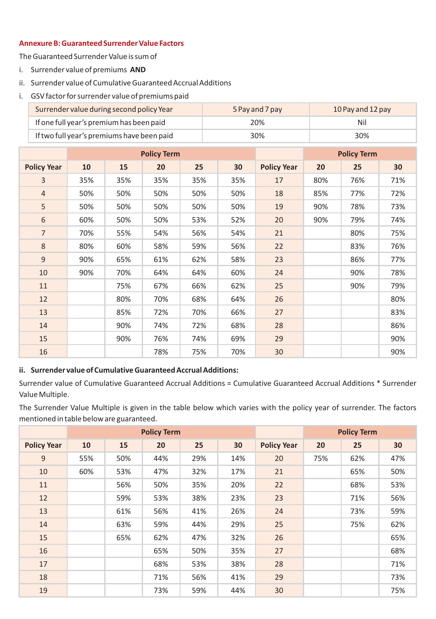## **Annexure B: Guaranteed Surrender Value Factors**

The Guaranteed Surrender Value is sum of

- i. Surrender value of premiums **AND**
- ii. Surrender value of Cumulative Guaranteed Accrual Additions
- i. GSV factor for surrender value of premiums paid

| Surrender value during second policy Year  | 5 Pay and 7 pay | 10 Pay and 12 pay |
|--------------------------------------------|-----------------|-------------------|
| If one full year's premium has been paid   | 20%             | Nil               |
| If two full year's premiums have been paid | 30%             | 30%               |

|                    |     |     | <b>Policy Term</b> |     |     |                    |     | <b>Policy Term</b> |     |
|--------------------|-----|-----|--------------------|-----|-----|--------------------|-----|--------------------|-----|
| <b>Policy Year</b> | 10  | 15  | 20                 | 25  | 30  | <b>Policy Year</b> | 20  | 25                 | 30  |
| 3                  | 35% | 35% | 35%                | 35% | 35% | 17                 | 80% | 76%                | 71% |
| $\overline{4}$     | 50% | 50% | 50%                | 50% | 50% | 18                 | 85% | 77%                | 72% |
| 5                  | 50% | 50% | 50%                | 50% | 50% | 19                 | 90% | 78%                | 73% |
| 6                  | 60% | 50% | 50%                | 53% | 52% | 20                 | 90% | 79%                | 74% |
| $\overline{7}$     | 70% | 55% | 54%                | 56% | 54% | 21                 |     | 80%                | 75% |
| 8                  | 80% | 60% | 58%                | 59% | 56% | 22                 |     | 83%                | 76% |
| 9                  | 90% | 65% | 61%                | 62% | 58% | 23                 |     | 86%                | 77% |
| 10                 | 90% | 70% | 64%                | 64% | 60% | 24                 |     | 90%                | 78% |
| 11                 |     | 75% | 67%                | 66% | 62% | 25                 |     | 90%                | 79% |
| 12                 |     | 80% | 70%                | 68% | 64% | 26                 |     |                    | 80% |
| 13                 |     | 85% | 72%                | 70% | 66% | 27                 |     |                    | 83% |
| 14                 |     | 90% | 74%                | 72% | 68% | 28                 |     |                    | 86% |
| 15                 |     | 90% | 76%                | 74% | 69% | 29                 |     |                    | 90% |
| 16                 |     |     | 78%                | 75% | 70% | 30                 |     |                    | 90% |

## **ii. Surrender value of Cumulative Guaranteed Accrual Additions:**

Surrender value of Cumulative Guaranteed Accrual Additions = Cumulative Guaranteed Accrual Additions \* Surrender Value Multiple.

The Surrender Value Multiple is given in the table below which varies with the policy year of surrender. The factors mentioned in table below are guaranteed.

|                    |     |     | <b>Policy Term</b> |     |     |                    | <b>Policy Term</b> |     |     |
|--------------------|-----|-----|--------------------|-----|-----|--------------------|--------------------|-----|-----|
| <b>Policy Year</b> | 10  | 15  | 20                 | 25  | 30  | <b>Policy Year</b> | 20                 | 25  | 30  |
| 9                  | 55% | 50% | 44%                | 29% | 14% | 20                 | 75%                | 62% | 47% |
| 10                 | 60% | 53% | 47%                | 32% | 17% | 21                 |                    | 65% | 50% |
| 11                 |     | 56% | 50%                | 35% | 20% | 22                 |                    | 68% | 53% |
| 12                 |     | 59% | 53%                | 38% | 23% | 23                 |                    | 71% | 56% |
| 13                 |     | 61% | 56%                | 41% | 26% | 24                 |                    | 73% | 59% |
| 14                 |     | 63% | 59%                | 44% | 29% | 25                 |                    | 75% | 62% |
| 15                 |     | 65% | 62%                | 47% | 32% | 26                 |                    |     | 65% |
| 16                 |     |     | 65%                | 50% | 35% | 27                 |                    |     | 68% |
| 17                 |     |     | 68%                | 53% | 38% | 28                 |                    |     | 71% |
| 18                 |     |     | 71%                | 56% | 41% | 29                 |                    |     | 73% |
| 19                 |     |     | 73%                | 59% | 44% | 30                 |                    |     | 75% |